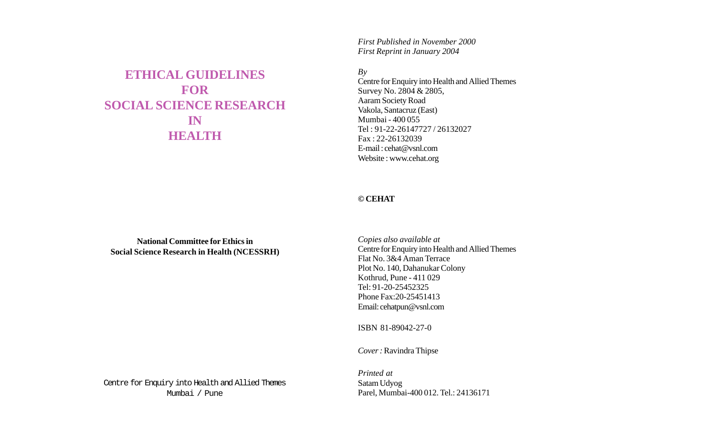# **ETHICAL GUIDELINES FOR SOCIAL SCIENCE RESEARCH IN HEALTH**

*First Published in November 2000 First Reprint in January 2004*

*By*

Centre for Enquiry into Health and Allied Themes Survey No. 2804 & 2805, Aaram Society Road Vakola, Santacruz (East) Mumbai - 400 055 Tel : 91-22-26147727 / 26132027 Fax : 22-26132039 E-mail : cehat@vsnl.com Website : www.cehat.org

### **© CEHAT**

**National Committee for Ethics in Social Science Research in Health (NCESSRH)** *Copies also available at* Centre for Enquiry into Health and Allied Themes Flat No. 3&4 Aman Terrace Plot No. 140, Dahanukar Colony Kothrud, Pune - 411 029 Tel: 91-20-25452325 Phone Fax:20-25451413 Email: cehatpun@vsnl.com

ISBN 81-89042-27-0

*Cover :* Ravindra Thipse

Centre for Enquiry into Health and Allied Themes Mumbai / Pune

*Printed at* Satam Udyog Parel, Mumbai-400 012. Tel.: 24136171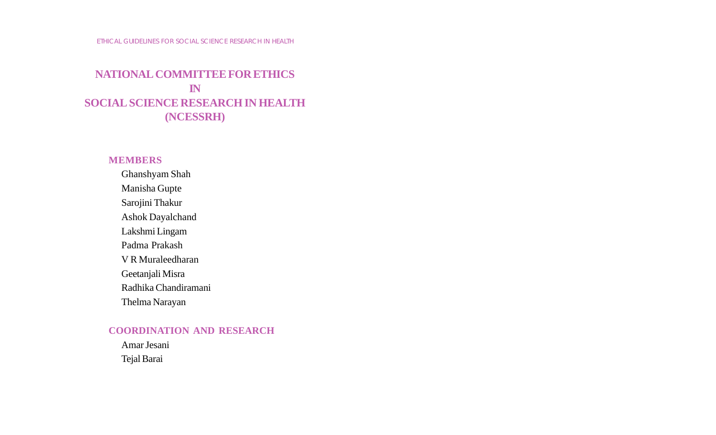# **NATIONAL COMMITTEE FOR ETHICS IN SOCIAL SCIENCE RESEARCH IN HEALTH (NCESSRH)**

## **MEMBERS**

Ghanshyam Shah Manisha Gupte Sarojini Thakur Ashok Dayalchand Lakshmi Lingam Padma Prakash V R Muraleedharan Geetanjali Misra Radhika Chandiramani Thelma Narayan

## **COORDINATION AND RESEARCH**

Amar Jesani Tejal Barai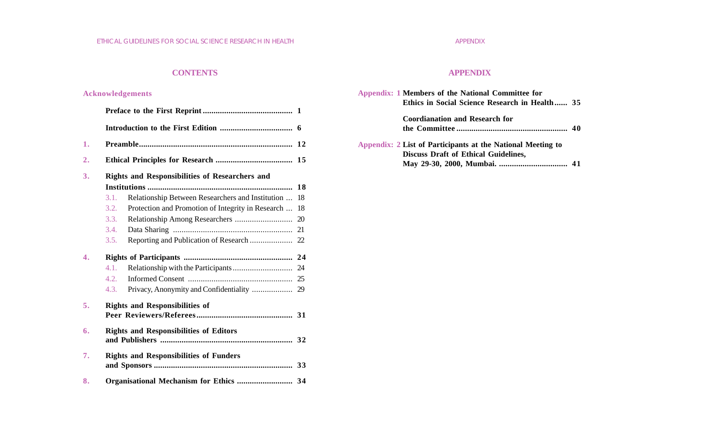### **CONTENTS**

### **Acknowledgements**

|      |                                                       | 12 |
|------|-------------------------------------------------------|----|
|      |                                                       |    |
|      | <b>Rights and Responsibilities of Researchers and</b> |    |
|      |                                                       | 18 |
| 3.1. | Relationship Between Researchers and Institution      | 18 |
| 3.2. | Protection and Promotion of Integrity in Research     | 18 |
| 3.3. |                                                       | 20 |
| 3.4. |                                                       | 21 |
| 3.5. | Reporting and Publication of Research                 | 22 |
|      |                                                       |    |
| 4.1. |                                                       | 24 |
| 4.2. |                                                       |    |
| 4.3. |                                                       |    |
|      | <b>Rights and Responsibilities of</b>                 |    |
|      |                                                       |    |
|      | <b>Rights and Responsibilities of Editors</b>         |    |
|      |                                                       |    |
|      | <b>Rights and Responsibilities of Funders</b>         |    |
|      |                                                       |    |
|      |                                                       |    |

## **APPENDIX**

| Appendix: 1 Members of the National Committee for           |  |
|-------------------------------------------------------------|--|
| Ethics in Social Science Research in Health 35              |  |
| <b>Coordianation and Research for</b>                       |  |
|                                                             |  |
| Appendix: 2 List of Participants at the National Meeting to |  |
| <b>Discuss Draft of Ethical Guidelines,</b>                 |  |
|                                                             |  |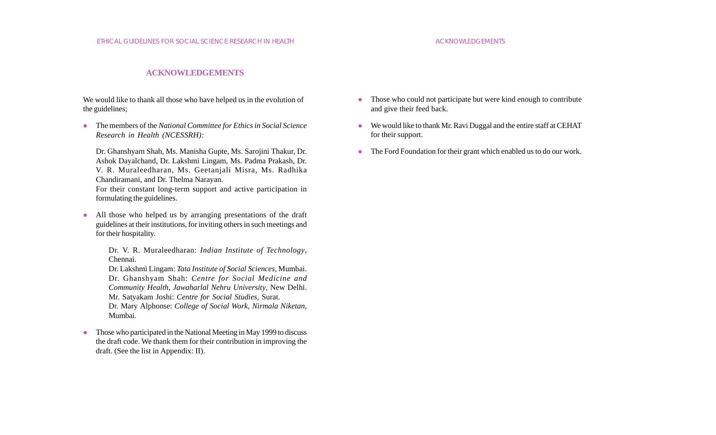#### **ACKNOWLEDGEMENTS**

### We would like to thank all those who have helped us in the evolution of the guidelines;

z The members of the *National Committee for Ethics in Social Science Research in Health (NCESSRH):*

Dr. Ghanshyam Shah, Ms. Manisha Gupte, Ms. Sarojini Thakur, Dr. Ashok Dayalchand, Dr. Lakshmi Lingam, Ms. Padma Prakash, Dr. V. R. Muraleedharan, Ms. Geetanjali Misra, Ms. Radhika Chandiramani, and Dr. Thelma Narayan.

For their constant long-term support and active participation in formulating the guidelines.

• All those who helped us by arranging presentations of the draft guidelines at their institutions, for inviting others in such meetings and for their hospitality.

> Dr. V. R. Muraleedharan: *Indian Institute of Technology*, Chennai.

> Dr. Lakshmi Lingam: *Tata Institute of Social Sciences,* Mumbai. Dr. Ghanshyam Shah: *Centre for Social Medicine and Community Health*, *Jawaharlal Nehru University*, New Delhi. Mr. Satyakam Joshi: *Centre for Social Studies,* Surat*.*

> Dr. Mary Alphonse: *College of Social Work, Nirmala Niketan,* Mumbai.

• Those who participated in the National Meeting in May 1999 to discuss the draft code. We thank them for their contribution in improving the draft. (See the list in Appendix: II).

- Those who could not participate but were kind enough to contribute and give their feed back.
- $\bullet$  We would like to thank Mr. Ravi Duggal and the entire staff at CEHAT for their support.
- The Ford Foundation for their grant which enabled us to do our work.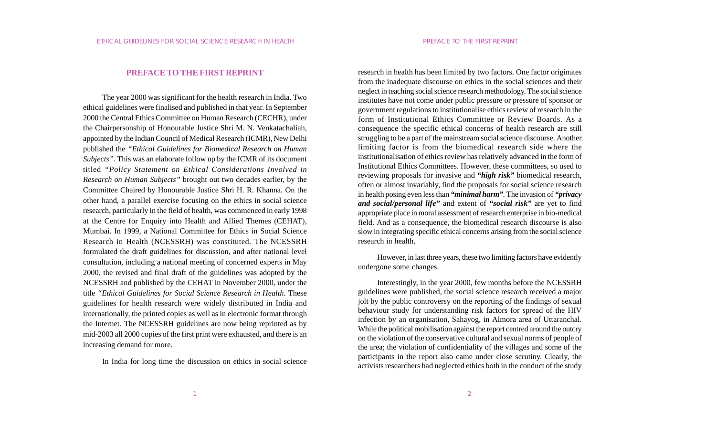#### **PREFACE TO THE FIRST REPRINT**

The year 2000 was significant for the health research in India. Two ethical guidelines were finalised and published in that year. In September 2000 the Central Ethics Committee on Human Research (CECHR), under the Chairpersonship of Honourable Justice Shri M. N. Venkatachaliah, appointed by the Indian Council of Medical Research (ICMR), New Delhi published the *"Ethical Guidelines for Biomedical Research on Human Subjects".* This was an elaborate follow up by the ICMR of its document titled *"Policy Statement on Ethical Considerations Involved in Research on Human Subjects"* brought out two decades earlier, by the Committee Chaired by Honourable Justice Shri H. R. Khanna. On the other hand, a parallel exercise focusing on the ethics in social science research, particularly in the field of health, was commenced in early 1998 at the Centre for Enquiry into Health and Allied Themes (CEHAT), Mumbai. In 1999, a National Committee for Ethics in Social Science Research in Health (NCESSRH) was constituted. The NCESSRH formulated the draft guidelines for discussion, and after national level consultation, including a national meeting of concerned experts in May 2000, the revised and final draft of the guidelines was adopted by the NCESSRH and published by the CEHAT in November 2000, under the title *"Ethical Guidelines for Social Science Research in Health*. These guidelines for health research were widely distributed in India and internationally, the printed copies as well as in electronic format through the Internet. The NCESSRH guidelines are now being reprinted as by mid-2003 all 2000 copies of the first print were exhausted, and there is an increasing demand for more.

In India for long time the discussion on ethics in social science

research in health has been limited by two factors. One factor originates from the inadequate discourse on ethics in the social sciences and their neglect in teaching social science research methodology. The social science institutes have not come under public pressure or pressure of sponsor or government regulations to institutionalise ethics review of research in the form of Institutional Ethics Committee or Review Boards. As a consequence the specific ethical concerns of health research are still struggling to be a part of the mainstream social science discourse. Another limiting factor is from the biomedical research side where the institutionalisation of ethics review has relatively advanced in the form of Institutional Ethics Committees. However, these committees, so used to reviewing proposals for invasive and *"high risk"* biomedical research, often or almost invariably, find the proposals for social science research in health posing even less than *"minimal harm".* The invasion of *"privacy and social/personal life"* and extent of *"social risk"* are yet to find appropriate place in moral assessment of research enterprise in bio-medical field. And as a consequence, the biomedical research discourse is also slow in integrating specific ethical concerns arising from the social science research in health.

However, in last three years, these two limiting factors have evidently undergone some changes.

Interestingly, in the year 2000, few months before the NCESSRH guidelines were published, the social science research received a major jolt by the public controversy on the reporting of the findings of sexual behaviour study for understanding risk factors for spread of the HIV infection by an organisation, Sahayog, in Almora area of Uttaranchal. While the political mobilisation against the report centred around the outcry on the violation of the conservative cultural and sexual norms of people of the area; the violation of confidentiality of the villages and some of the participants in the report also came under close scrutiny. Clearly, the activists researchers had neglected ethics both in the conduct of the study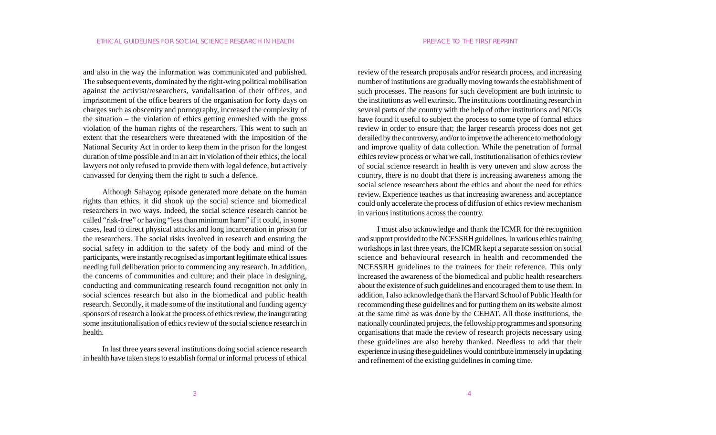and also in the way the information was communicated and published. The subsequent events, dominated by the right-wing political mobilisation against the activist/researchers, vandalisation of their offices, and imprisonment of the office bearers of the organisation for forty days on charges such as obscenity and pornography, increased the complexity of the situation – the violation of ethics getting enmeshed with the gross violation of the human rights of the researchers. This went to such an extent that the researchers were threatened with the imposition of the National Security Act in order to keep them in the prison for the longest duration of time possible and in an act in violation of their ethics, the local lawyers not only refused to provide them with legal defence, but actively canvassed for denying them the right to such a defence.

Although Sahayog episode generated more debate on the human rights than ethics, it did shook up the social science and biomedical researchers in two ways. Indeed, the social science research cannot be called "risk-free" or having "less than minimum harm" if it could, in some cases, lead to direct physical attacks and long incarceration in prison for the researchers. The social risks involved in research and ensuring the social safety in addition to the safety of the body and mind of the participants, were instantly recognised as important legitimate ethical issues needing full deliberation prior to commencing any research. In addition, the concerns of communities and culture; and their place in designing, conducting and communicating research found recognition not only in social sciences research but also in the biomedical and public health research. Secondly, it made some of the institutional and funding agency sponsors of research a look at the process of ethics review, the inaugurating some institutionalisation of ethics review of the social science research in health.

In last three years several institutions doing social science research in health have taken steps to establish formal or informal process of ethical

review of the research proposals and/or research process, and increasing number of institutions are gradually moving towards the establishment of such processes. The reasons for such development are both intrinsic to the institutions as well extrinsic. The institutions coordinating research in several parts of the country with the help of other institutions and NGOs have found it useful to subject the process to some type of formal ethics review in order to ensure that; the larger research process does not get derailed by the controversy, and/or to improve the adherence to methodology and improve quality of data collection. While the penetration of formal ethics review process or what we call, institutionalisation of ethics review of social science research in health is very uneven and slow across the country, there is no doubt that there is increasing awareness among the social science researchers about the ethics and about the need for ethics review. Experience teaches us that increasing awareness and acceptance could only accelerate the process of diffusion of ethics review mechanism in various institutions across the country.

I must also acknowledge and thank the ICMR for the recognition and support provided to the NCESSRH guidelines. In various ethics training workshops in last three years, the ICMR kept a separate session on social science and behavioural research in health and recommended the NCESSRH guidelines to the trainees for their reference. This only increased the awareness of the biomedical and public health researchers about the existence of such guidelines and encouraged them to use them. In addition, I also acknowledge thank the Harvard School of Public Health for recommending these guidelines and for putting them on its website almost at the same time as was done by the CEHAT. All those institutions, the nationally coordinated projects, the fellowship programmes and sponsoring organisations that made the review of research projects necessary using these guidelines are also hereby thanked. Needless to add that their experience in using these guidelines would contribute immensely in updating and refinement of the existing guidelines in coming time.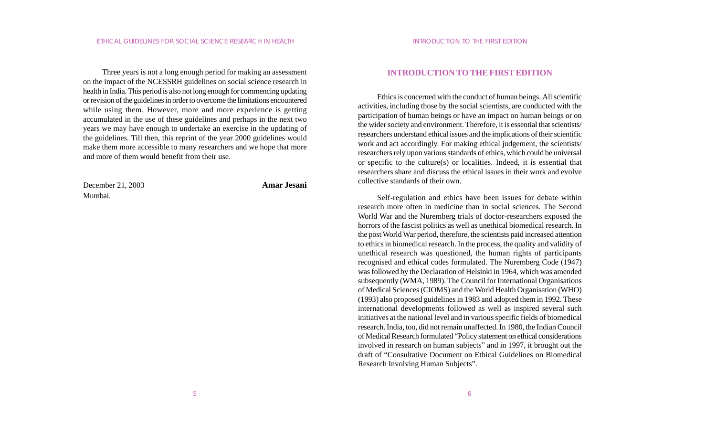Three years is not a long enough period for making an assessment on the impact of the NCESSRH guidelines on social science research in health in India. This period is also not long enough for commencing updating or revision of the guidelines in order to overcome the limitations encountered while using them. However, more and more experience is getting accumulated in the use of these guidelines and perhaps in the next two years we may have enough to undertake an exercise in the updating of the guidelines. Till then, this reprint of the year 2000 guidelines would make them more accessible to many researchers and we hope that more and more of them would benefit from their use.

December 21, 2003 **Amar Jesani** Mumbai.

#### **INTRODUCTION TO THE FIRST EDITION**

Ethics is concerned with the conduct of human beings. All scientific activities, including those by the social scientists, are conducted with the participation of human beings or have an impact on human beings or on the wider society and environment. Therefore, it is essential that scientists/ researchers understand ethical issues and the implications of their scientific work and act accordingly. For making ethical judgement, the scientists/ researchers rely upon various standards of ethics, which could be universal or specific to the culture(s) or localities. Indeed, it is essential that researchers share and discuss the ethical issues in their work and evolve collective standards of their own.

Self-regulation and ethics have been issues for debate within research more often in medicine than in social sciences. The Second World War and the Nuremberg trials of doctor-researchers exposed the horrors of the fascist politics as well as unethical biomedical research. In the post World War period, therefore, the scientists paid increased attention to ethics in biomedical research. In the process, the quality and validity of unethical research was questioned, the human rights of participants recognised and ethical codes formulated. The Nuremberg Code (1947) was followed by the Declaration of Helsinki in 1964, which was amended subsequently (WMA, 1989). The Council for International Organisations of Medical Sciences (CIOMS) and the World Health Organisation (WHO) (1993) also proposed guidelines in 1983 and adopted them in 1992. These international developments followed as well as inspired several such initiatives at the national level and in various specific fields of biomedical research. India, too, did not remain unaffected. In 1980, the Indian Council of Medical Research formulated "Policy statement on ethical considerations involved in research on human subjects" and in 1997, it brought out the draft of "Consultative Document on Ethical Guidelines on Biomedical Research Involving Human Subjects".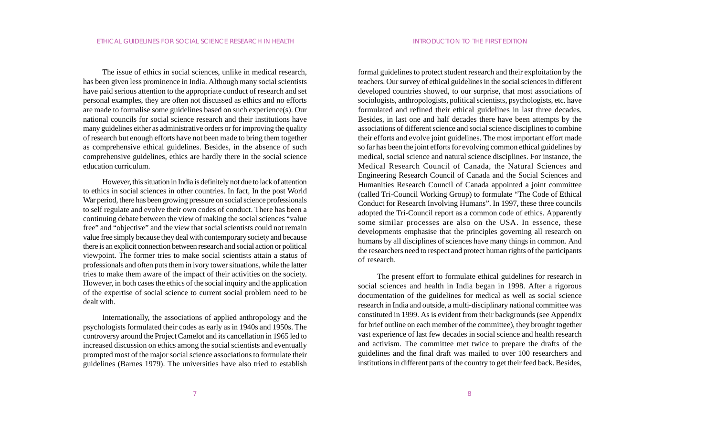The issue of ethics in social sciences, unlike in medical research, has been given less prominence in India. Although many social scientists have paid serious attention to the appropriate conduct of research and set personal examples, they are often not discussed as ethics and no efforts are made to formalise some guidelines based on such experience(s). Our national councils for social science research and their institutions have many guidelines either as administrative orders or for improving the quality of research but enough efforts have not been made to bring them together as comprehensive ethical guidelines. Besides, in the absence of such comprehensive guidelines, ethics are hardly there in the social science education curriculum.

However, this situation in India is definitely not due to lack of attention to ethics in social sciences in other countries. In fact, In the post World War period, there has been growing pressure on social science professionals to self regulate and evolve their own codes of conduct. There has been a continuing debate between the view of making the social sciences "value free" and "objective" and the view that social scientists could not remain value free simply because they deal with contemporary society and because there is an explicit connection between research and social action or political viewpoint. The former tries to make social scientists attain a status of professionals and often puts them in ivory tower situations, while the latter tries to make them aware of the impact of their activities on the society. However, in both cases the ethics of the social inquiry and the application of the expertise of social science to current social problem need to be dealt with.

Internationally, the associations of applied anthropology and the psychologists formulated their codes as early as in 1940s and 1950s. The controversy around the Project Camelot and its cancellation in 1965 led to increased discussion on ethics among the social scientists and eventually prompted most of the major social science associations to formulate their guidelines (Barnes 1979). The universities have also tried to establish

formal guidelines to protect student research and their exploitation by the teachers. Our survey of ethical guidelines in the social sciences in different developed countries showed, to our surprise, that most associations of sociologists, anthropologists, political scientists, psychologists, etc. have formulated and refined their ethical guidelines in last three decades. Besides, in last one and half decades there have been attempts by the associations of different science and social science disciplines to combine their efforts and evolve joint guidelines. The most important effort made so far has been the joint efforts for evolving common ethical guidelines by medical, social science and natural science disciplines. For instance, the Medical Research Council of Canada, the Natural Sciences and Engineering Research Council of Canada and the Social Sciences and Humanities Research Council of Canada appointed a joint committee (called Tri-Council Working Group) to formulate "The Code of Ethical Conduct for Research Involving Humans". In 1997, these three councils adopted the Tri-Council report as a common code of ethics. Apparently some similar processes are also on the USA. In essence, these developments emphasise that the principles governing all research on humans by all disciplines of sciences have many things in common. And the researchers need to respect and protect human rights of the participants of research.

The present effort to formulate ethical guidelines for research in social sciences and health in India began in 1998. After a rigorous documentation of the guidelines for medical as well as social science research in India and outside, a multi-disciplinary national committee was constituted in 1999. As is evident from their backgrounds (see Appendix for brief outline on each member of the committee), they brought together vast experience of last few decades in social science and health research and activism. The committee met twice to prepare the drafts of the guidelines and the final draft was mailed to over 100 researchers and institutions in different parts of the country to get their feed back. Besides,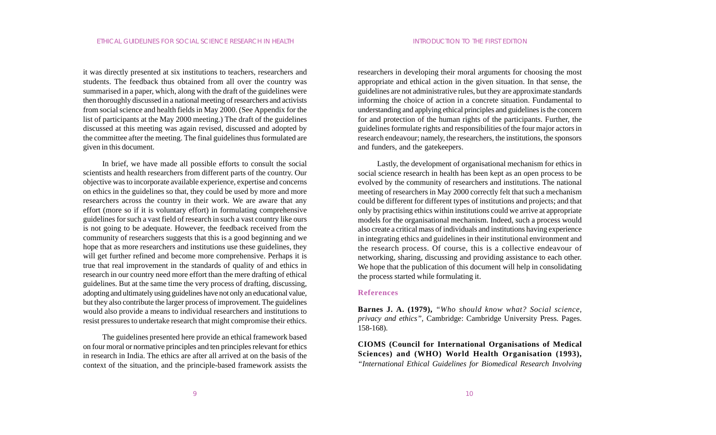it was directly presented at six institutions to teachers, researchers and students. The feedback thus obtained from all over the country was summarised in a paper, which, along with the draft of the guidelines were then thoroughly discussed in a national meeting of researchers and activists from social science and health fields in May 2000. (See Appendix for the list of participants at the May 2000 meeting.) The draft of the guidelines discussed at this meeting was again revised, discussed and adopted by the committee after the meeting. The final guidelines thus formulated are given in this document.

In brief, we have made all possible efforts to consult the social scientists and health researchers from different parts of the country. Our objective was to incorporate available experience, expertise and concerns on ethics in the guidelines so that, they could be used by more and more researchers across the country in their work. We are aware that any effort (more so if it is voluntary effort) in formulating comprehensive guidelines for such a vast field of research in such a vast country like ours is not going to be adequate. However, the feedback received from the community of researchers suggests that this is a good beginning and we hope that as more researchers and institutions use these guidelines, they will get further refined and become more comprehensive. Perhaps it is true that real improvement in the standards of quality of and ethics in research in our country need more effort than the mere drafting of ethical guidelines. But at the same time the very process of drafting, discussing, adopting and ultimately using guidelines have not only an educational value, but they also contribute the larger process of improvement. The guidelines would also provide a means to individual researchers and institutions to resist pressures to undertake research that might compromise their ethics.

The guidelines presented here provide an ethical framework based on four moral or normative principles and ten principles relevant for ethics in research in India. The ethics are after all arrived at on the basis of the context of the situation, and the principle-based framework assists the

researchers in developing their moral arguments for choosing the most appropriate and ethical action in the given situation. In that sense, the guidelines are not administrative rules, but they are approximate standards informing the choice of action in a concrete situation. Fundamental to understanding and applying ethical principles and guidelines is the concern for and protection of the human rights of the participants. Further, the guidelines formulate rights and responsibilities of the four major actors in research endeavour; namely, the researchers, the institutions, the sponsors and funders, and the gatekeepers.

Lastly, the development of organisational mechanism for ethics in social science research in health has been kept as an open process to be evolved by the community of researchers and institutions. The national meeting of researchers in May 2000 correctly felt that such a mechanism could be different for different types of institutions and projects; and that only by practising ethics within institutions could we arrive at appropriate models for the organisational mechanism. Indeed, such a process would also create a critical mass of individuals and institutions having experience in integrating ethics and guidelines in their institutional environment and the research process. Of course, this is a collective endeavour of networking, sharing, discussing and providing assistance to each other. We hope that the publication of this document will help in consolidating the process started while formulating it.

#### **References**

**Barnes J. A. (1979),** *"Who should know what? Social science, privacy and ethics",* Cambridge: Cambridge University Press. Pages. 158-168).

**CIOMS (Council for International Organisations of Medical Sciences) and (WHO) World Health Organisation (1993),** *"International Ethical Guidelines for Biomedical Research Involving*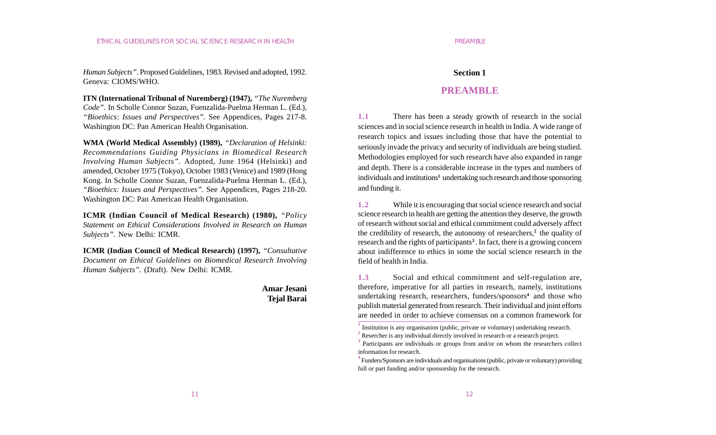*Human Subjects"*. Proposed Guidelines, 1983. Revised and adopted, 1992. Geneva: CIOMS/WHO.

**ITN (International Tribunal of Nuremberg) (1947),** *"The Nuremberg Code".* In Scholle Connor Suzan, Fuenzalida-Puelma Herman L. (Ed.), *"Bioethics: Issues and Perspectives".* See Appendices, Pages 217-8. Washington DC: Pan American Health Organisation.

**WMA (World Medical Assembly) (1989),** *"Declaration of Helsinki: Recommendations Guiding Physicians in Biomedical Research Involving Human Subjects".* Adopted, June 1964 (Helsinki) and amended, October 1975 (Tokyo), October 1983 (Venice) and 1989 (Hong Kong. In Scholle Connor Suzan, Fuenzalida-Puelma Herman L. (Ed.), *"Bioethics: Issues and Perspectives".* See Appendices, Pages 218-20. Washington DC: Pan American Health Organisation.

**ICMR (Indian Council of Medical Research) (1980),** *"Policy Statement on Ethical Considerations Involved in Research on Human Subjects".* New Delhi: ICMR.

**ICMR (Indian Council of Medical Research) (1997),** *"Consultative Document on Ethical Guidelines on Biomedical Research Involving Human Subjects".* (Draft). New Delhi: ICMR.

> **Amar Jesani Tejal Barai**

#### **Section 1**

#### **PREAMBLE**

**1.1** There has been a steady growth of research in the social sciences and in social science research in health in India. A wide range of research topics and issues including those that have the potential to seriously invade the privacy and security of individuals are being studied. Methodologies employed for such research have also expanded in range and depth. There is a considerable increase in the types and numbers of individuals and institutions**1** undertaking such research and those sponsoring and funding it.

**1.2** While it is encouraging that social science research and social science research in health are getting the attention they deserve, the growth of research without social and ethical commitment could adversely affect the credibility of research, the autonomy of researchers,**<sup>2</sup>** the quality of research and the rights of participants**<sup>3</sup>** . In fact, there is a growing concern about indifference to ethics in some the social science research in the field of health in India.

**1.3** Social and ethical commitment and self-regulation are, therefore, imperative for all parties in research, namely, institutions undertaking research, researchers, funders/sponsors**4** and those who publish material generated from research. Their individual and joint efforts are needed in order to achieve consensus on a common framework for

**<sup>1</sup>** Institution is any organisation (public, private or voluntary) undertaking research.

<sup>&</sup>lt;sup>2</sup> Resercher is any individual directly involved in research or a research project.

<sup>&</sup>lt;sup>3</sup> Participants are individuals or groups from and/or on whom the researchers collect information for research.

**<sup>4</sup>** Funders/Sponsors are individuals and organisations (public, private or voluntary) providing full or part funding and/or sponsorship for the research.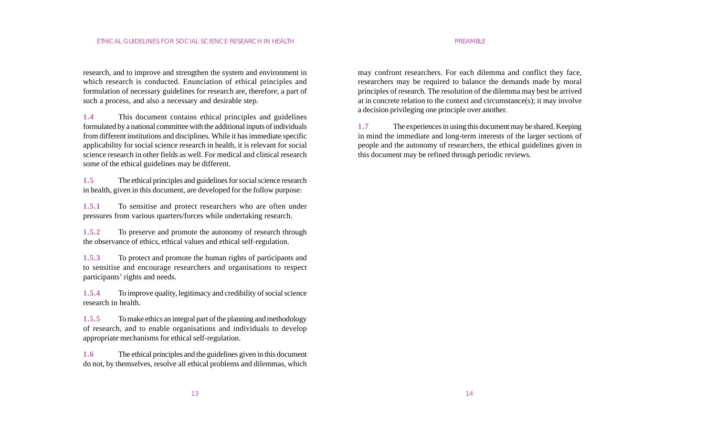research, and to improve and strengthen the system and environment in which research is conducted. Enunciation of ethical principles and formulation of necessary guidelines for research are, therefore, a part of such a process, and also a necessary and desirable step.

**1.4** This document contains ethical principles and guidelines formulated by a national committee with the additional inputs of individuals from different institutions and disciplines. While it has immediate specific applicability for social science research in health, it is relevant for social science research in other fields as well. For medical and clinical research some of the ethical guidelines may be different.

**1.5** The ethical principles and guidelines for social science research in health, given in this document, are developed for the follow purpose:

**1.5.1** To sensitise and protect researchers who are often under pressures from various quarters/forces while undertaking research.

**1.5.2** To preserve and promote the autonomy of research through the observance of ethics, ethical values and ethical self-regulation.

**1.5.3** To protect and promote the human rights of participants and to sensitise and encourage researchers and organisations to respect participants' rights and needs.

**1.5.4** To improve quality, legitimacy and credibility of social science research in health.

**1.5.5** To make ethics an integral part of the planning and methodology of research, and to enable organisations and individuals to develop appropriate mechanisms for ethical self-regulation.

**1.6** The ethical principles and the guidelines given in this document do not, by themselves, resolve all ethical problems and dilemmas, which may confront researchers. For each dilemma and conflict they face, researchers may be required to balance the demands made by moral principles of research. The resolution of the dilemma may best be arrived at in concrete relation to the context and circumstance(s); it may involve a decision privileging one principle over another.

**1.7** The experiences in using this document may be shared. Keeping in mind the immediate and long-term interests of the larger sections of people and the autonomy of researchers, the ethical guidelines given in this document may be refined through periodic reviews.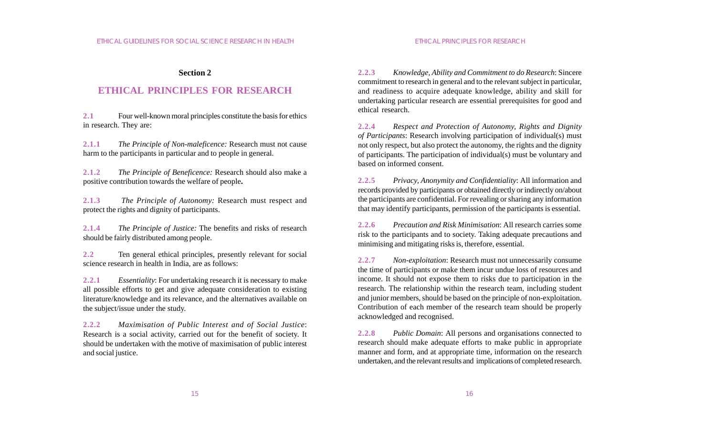#### **Section 2**

## **ETHICAL PRINCIPLES FOR RESEARCH**

**2.1** Four well-known moral principles constitute the basis for ethics in research. They are:

**2.1.1** *The Principle of Non-maleficence:* Research must not cause harm to the participants in particular and to people in general.

**2.1.2** *The Principle of Beneficence:* Research should also make a positive contribution towards the welfare of people**.**

**2.1.3** *The Principle of Autonomy:* Research must respect and protect the rights and dignity of participants.

**2.1.4** *The Principle of Justice:* The benefits and risks of research should be fairly distributed among people.

**2.2** Ten general ethical principles, presently relevant for social science research in health in India, are as follows:

**2.2.1** *Essentiality*: For undertaking research it is necessary to make all possible efforts to get and give adequate consideration to existing literature/knowledge and its relevance, and the alternatives available on the subject/issue under the study.

**2.2.2** *Maximisation of Public Interest and of Social Justice*: Research is a social activity, carried out for the benefit of society. It should be undertaken with the motive of maximisation of public interest and social justice.

**2.2.3** *Knowledge, Ability and Commitment to do Research*: Sincere commitment to research in general and to the relevant subject in particular, and readiness to acquire adequate knowledge, ability and skill for undertaking particular research are essential prerequisites for good and ethical research.

**2.2.4** *Respect and Protection of Autonomy, Rights and Dignity of Participants*: Research involving participation of individual(s) must not only respect, but also protect the autonomy, the rights and the dignity of participants. The participation of individual(s) must be voluntary and based on informed consent.

**2.2.5** *Privacy, Anonymity and Confidentiality*: All information and records provided by participants or obtained directly or indirectly on/about the participants are confidential. For revealing or sharing any information that may identify participants, permission of the participants is essential.

**2.2.6** *Precaution and Risk Minimisation*: All research carries some risk to the participants and to society. Taking adequate precautions and minimising and mitigating risks is, therefore, essential.

**2.2.7** *Non-exploitation*: Research must not unnecessarily consume the time of participants or make them incur undue loss of resources and income. It should not expose them to risks due to participation in the research. The relationship within the research team, including student and junior members, should be based on the principle of non-exploitation. Contribution of each member of the research team should be properly acknowledged and recognised.

**2.2.8** *Public Domain*: All persons and organisations connected to research should make adequate efforts to make public in appropriate manner and form, and at appropriate time, information on the research undertaken, and the relevant results and implications of completed research.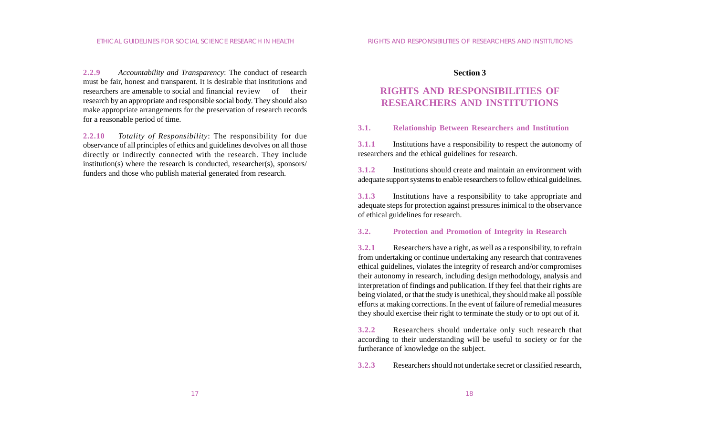**2.2.9** *Accountability and Transparency*: The conduct of research must be fair, honest and transparent. It is desirable that institutions and researchers are amenable to social and financial review of their research by an appropriate and responsible social body. They should also make appropriate arrangements for the preservation of research records for a reasonable period of time.

**2.2.10** *Totality of Responsibility*: The responsibility for due observance of all principles of ethics and guidelines devolves on all those directly or indirectly connected with the research. They include institution(s) where the research is conducted, researcher(s), sponsors/ funders and those who publish material generated from research.

#### **Section 3**

## **RIGHTS AND RESPONSIBILITIES OF RESEARCHERS AND INSTITUTIONS**

**3.1. Relationship Between Researchers and Institution**

**3.1.1** Institutions have a responsibility to respect the autonomy of researchers and the ethical guidelines for research.

**3.1.2** Institutions should create and maintain an environment with adequate support systems to enable researchers to follow ethical guidelines.

**3.1.3** Institutions have a responsibility to take appropriate and adequate steps for protection against pressures inimical to the observance of ethical guidelines for research.

#### **3.2. Protection and Promotion of Integrity in Research**

**3.2.1** Researchers have a right, as well as a responsibility, to refrain from undertaking or continue undertaking any research that contravenes ethical guidelines, violates the integrity of research and/or compromises their autonomy in research, including design methodology, analysis and interpretation of findings and publication. If they feel that their rights are being violated, or that the study is unethical, they should make all possible efforts at making corrections. In the event of failure of remedial measures they should exercise their right to terminate the study or to opt out of it.

**3.2.2** Researchers should undertake only such research that according to their understanding will be useful to society or for the furtherance of knowledge on the subject.

**3.2.3** Researchers should not undertake secret or classified research,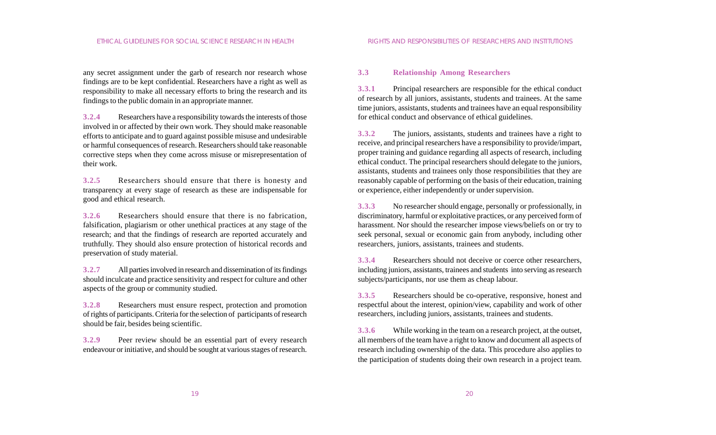any secret assignment under the garb of research nor research whose findings are to be kept confidential. Researchers have a right as well as responsibility to make all necessary efforts to bring the research and its findings to the public domain in an appropriate manner.

**3.2.4** Researchers have a responsibility towards the interests of those involved in or affected by their own work. They should make reasonable efforts to anticipate and to guard against possible misuse and undesirable or harmful consequences of research. Researchers should take reasonable corrective steps when they come across misuse or misrepresentation of their work.

**3.2.5** Researchers should ensure that there is honesty and transparency at every stage of research as these are indispensable for good and ethical research.

**3.2.6** Researchers should ensure that there is no fabrication, falsification, plagiarism or other unethical practices at any stage of the research; and that the findings of research are reported accurately and truthfully. They should also ensure protection of historical records and preservation of study material.

**3.2.7** All parties involved in research and dissemination of its findings should inculcate and practice sensitivity and respect for culture and other aspects of the group or community studied.

**3.2.8** Researchers must ensure respect, protection and promotion of rights of participants. Criteria for the selection of participants of research should be fair, besides being scientific.

**3.2.9** Peer review should be an essential part of every research endeavour or initiative, and should be sought at various stages of research.

#### **3.3 Relationship Among Researchers**

**3.3.1** Principal researchers are responsible for the ethical conduct of research by all juniors, assistants, students and trainees. At the same time juniors, assistants, students and trainees have an equal responsibility for ethical conduct and observance of ethical guidelines.

**3.3.2** The juniors, assistants, students and trainees have a right to receive, and principal researchers have a responsibility to provide/impart, proper training and guidance regarding all aspects of research, including ethical conduct. The principal researchers should delegate to the juniors, assistants, students and trainees only those responsibilities that they are reasonably capable of performing on the basis of their education, training or experience, either independently or under supervision.

**3.3.3** No researcher should engage, personally or professionally, in discriminatory, harmful or exploitative practices, or any perceived form of harassment. Nor should the researcher impose views/beliefs on or try to seek personal, sexual or economic gain from anybody, including other researchers, juniors, assistants, trainees and students.

**3.3.4** Researchers should not deceive or coerce other researchers, including juniors, assistants, trainees and students into serving as research subjects/participants, nor use them as cheap labour.

**3.3.5** Researchers should be co-operative, responsive, honest and respectful about the interest, opinion/view, capability and work of other researchers, including juniors, assistants, trainees and students.

**3.3.6** While working in the team on a research project, at the outset, all members of the team have a right to know and document all aspects of research including ownership of the data. This procedure also applies to the participation of students doing their own research in a project team.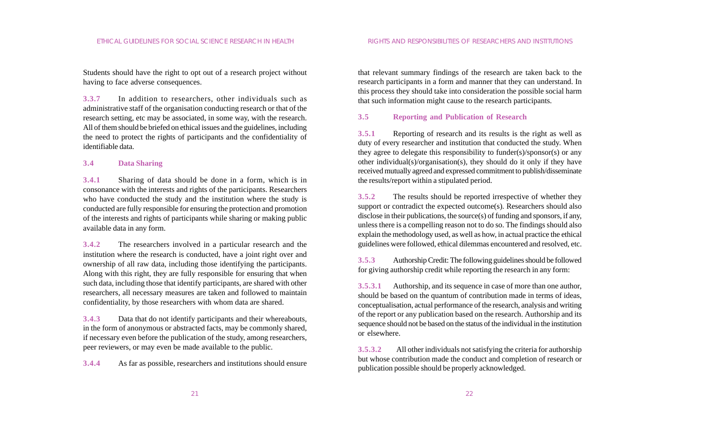Students should have the right to opt out of a research project without having to face adverse consequences.

**3.3.7** In addition to researchers, other individuals such as administrative staff of the organisation conducting research or that of the research setting, etc may be associated, in some way, with the research. All of them should be briefed on ethical issues and the guidelines, including the need to protect the rights of participants and the confidentiality of identifiable data.

#### **3.4 Data Sharing**

**3.4.1** Sharing of data should be done in a form, which is in consonance with the interests and rights of the participants. Researchers who have conducted the study and the institution where the study is conducted are fully responsible for ensuring the protection and promotion of the interests and rights of participants while sharing or making public available data in any form.

**3.4.2** The researchers involved in a particular research and the institution where the research is conducted, have a joint right over and ownership of all raw data, including those identifying the participants. Along with this right, they are fully responsible for ensuring that when such data, including those that identify participants, are shared with other researchers, all necessary measures are taken and followed to maintain confidentiality, by those researchers with whom data are shared.

**3.4.3** Data that do not identify participants and their whereabouts, in the form of anonymous or abstracted facts, may be commonly shared, if necessary even before the publication of the study, among researchers, peer reviewers, or may even be made available to the public.

**3.4.4** As far as possible, researchers and institutions should ensure

that relevant summary findings of the research are taken back to the research participants in a form and manner that they can understand. In this process they should take into consideration the possible social harm that such information might cause to the research participants.

#### **3.5 Reporting and Publication of Research**

**3.5.1** Reporting of research and its results is the right as well as duty of every researcher and institution that conducted the study. When they agree to delegate this responsibility to funder(s)/sponsor(s) or any other individual(s)/organisation(s), they should do it only if they have received mutually agreed and expressed commitment to publish/disseminate the results/report within a stipulated period.

**3.5.2** The results should be reported irrespective of whether they support or contradict the expected outcome(s). Researchers should also disclose in their publications, the source(s) of funding and sponsors, if any, unless there is a compelling reason not to do so. The findings should also explain the methodology used, as well as how, in actual practice the ethical guidelines were followed, ethical dilemmas encountered and resolved, etc.

**3.5.3** Authorship Credit: The following guidelines should be followed for giving authorship credit while reporting the research in any form:

**3.5.3.1** Authorship, and its sequence in case of more than one author, should be based on the quantum of contribution made in terms of ideas, conceptualisation, actual performance of the research, analysis and writing of the report or any publication based on the research. Authorship and its sequence should not be based on the status of the individual in the institution or elsewhere.

**3.5.3.2** All other individuals not satisfying the criteria for authorship but whose contribution made the conduct and completion of research or publication possible should be properly acknowledged.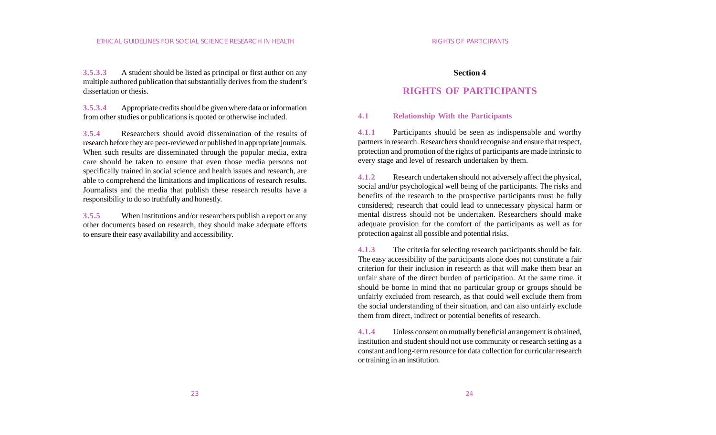**3.5.3.3** A student should be listed as principal or first author on any multiple authored publication that substantially derives from the student's dissertation or thesis.

**3.5.3.4** Appropriate credits should be given where data or information from other studies or publications is quoted or otherwise included.

**3.5.4** Researchers should avoid dissemination of the results of research before they are peer-reviewed or published in appropriate journals. When such results are disseminated through the popular media, extra care should be taken to ensure that even those media persons not specifically trained in social science and health issues and research, are able to comprehend the limitations and implications of research results. Journalists and the media that publish these research results have a responsibility to do so truthfully and honestly.

**3.5.5** When institutions and/or researchers publish a report or any other documents based on research, they should make adequate efforts to ensure their easy availability and accessibility.

#### **Section 4**

## **RIGHTS OF PARTICIPANTS**

#### **4.1 Relationship With the Participants**

**4.1.1** Participants should be seen as indispensable and worthy partners in research. Researchers should recognise and ensure that respect, protection and promotion of the rights of participants are made intrinsic to every stage and level of research undertaken by them.

**4.1.2** Research undertaken should not adversely affect the physical, social and/or psychological well being of the participants. The risks and benefits of the research to the prospective participants must be fully considered; research that could lead to unnecessary physical harm or mental distress should not be undertaken. Researchers should make adequate provision for the comfort of the participants as well as for protection against all possible and potential risks.

**4.1.3** The criteria for selecting research participants should be fair. The easy accessibility of the participants alone does not constitute a fair criterion for their inclusion in research as that will make them bear an unfair share of the direct burden of participation. At the same time, it should be borne in mind that no particular group or groups should be unfairly excluded from research, as that could well exclude them from the social understanding of their situation, and can also unfairly exclude them from direct, indirect or potential benefits of research.

**4.1.4** Unless consent on mutually beneficial arrangement is obtained, institution and student should not use community or research setting as a constant and long-term resource for data collection for curricular research or training in an institution.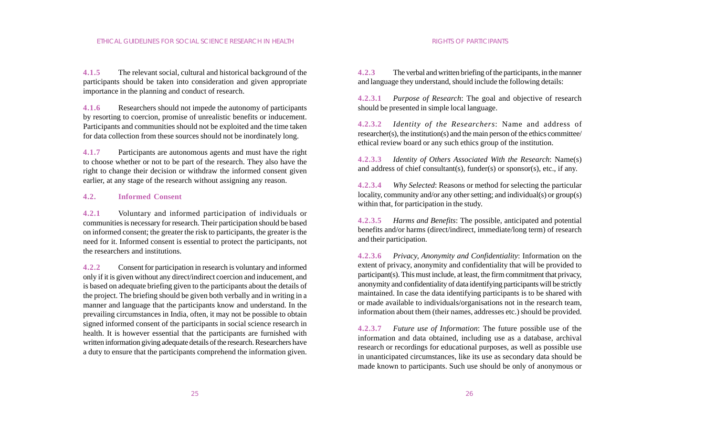**4.1.5** The relevant social, cultural and historical background of the participants should be taken into consideration and given appropriate importance in the planning and conduct of research.

**4.1.6** Researchers should not impede the autonomy of participants by resorting to coercion, promise of unrealistic benefits or inducement. Participants and communities should not be exploited and the time taken for data collection from these sources should not be inordinately long.

**4.1.7** Participants are autonomous agents and must have the right to choose whether or not to be part of the research. They also have the right to change their decision or withdraw the informed consent given earlier, at any stage of the research without assigning any reason.

#### **4.2. Informed Consent**

**4.2.1** Voluntary and informed participation of individuals or communities is necessary for research. Their participation should be based on informed consent; the greater the risk to participants, the greater is the need for it. Informed consent is essential to protect the participants, not the researchers and institutions.

**4.2.2** Consent for participation in research is voluntary and informed only if it is given without any direct/indirect coercion and inducement, and is based on adequate briefing given to the participants about the details of the project. The briefing should be given both verbally and in writing in a manner and language that the participants know and understand. In the prevailing circumstances in India, often, it may not be possible to obtain signed informed consent of the participants in social science research in health. It is however essential that the participants are furnished with written information giving adequate details of the research. Researchers have a duty to ensure that the participants comprehend the information given.

**4.2.3** The verbal and written briefing of the participants, in the manner and language they understand, should include the following details:

**4.2.3.1** *Purpose of Research*: The goal and objective of research should be presented in simple local language.

**4.2.3.2** *Identity of the Researchers*: Name and address of researcher(s), the institution(s) and the main person of the ethics committee/ ethical review board or any such ethics group of the institution.

**4.2.3.3** *Identity of Others Associated With the Research*: Name(s) and address of chief consultant(s), funder(s) or sponsor(s), etc., if any.

**4.2.3.4** *Why Selected*: Reasons or method for selecting the particular locality, community and/or any other setting; and individual(s) or group(s) within that, for participation in the study.

**4.2.3.5** *Harms and Benefits*: The possible, anticipated and potential benefits and/or harms (direct/indirect, immediate/long term) of research and their participation.

**4.2.3.6** *Privacy, Anonymity and Confidentiality*: Information on the extent of privacy, anonymity and confidentiality that will be provided to participant(s). This must include, at least, the firm commitment that privacy, anonymity and confidentiality of data identifying participants will be strictly maintained. In case the data identifying participants is to be shared with or made available to individuals/organisations not in the research team, information about them (their names, addresses etc.) should be provided.

**4.2.3.7** *Future use of Information*: The future possible use of the information and data obtained, including use as a database, archival research or recordings for educational purposes, as well as possible use in unanticipated circumstances, like its use as secondary data should be made known to participants. Such use should be only of anonymous or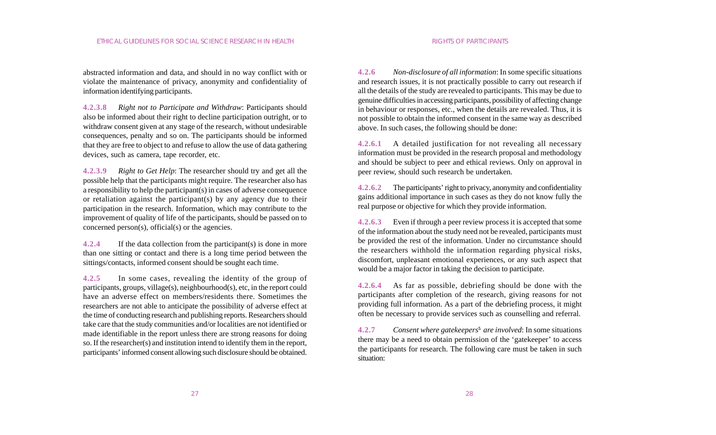abstracted information and data, and should in no way conflict with or violate the maintenance of privacy, anonymity and confidentiality of information identifying participants.

**4.2.3.8** *Right not to Participate and Withdraw*: Participants should also be informed about their right to decline participation outright, or to withdraw consent given at any stage of the research, without undesirable consequences, penalty and so on. The participants should be informed that they are free to object to and refuse to allow the use of data gathering devices, such as camera, tape recorder, etc.

**4.2.3.9** *Right to Get Help*: The researcher should try and get all the possible help that the participants might require. The researcher also has a responsibility to help the participant(s) in cases of adverse consequence or retaliation against the participant(s) by any agency due to their participation in the research. Information, which may contribute to the improvement of quality of life of the participants, should be passed on to concerned person(s), official(s) or the agencies.

**4.2.4** If the data collection from the participant(s) is done in more than one sitting or contact and there is a long time period between the sittings/contacts, informed consent should be sought each time.

**4.2.5** In some cases, revealing the identity of the group of participants, groups, village(s), neighbourhood(s), etc, in the report could have an adverse effect on members/residents there. Sometimes the researchers are not able to anticipate the possibility of adverse effect at the time of conducting research and publishing reports. Researchers should take care that the study communities and/or localities are not identified or made identifiable in the report unless there are strong reasons for doing so. If the researcher(s) and institution intend to identify them in the report, participants' informed consent allowing such disclosure should be obtained.

**4.2.6** *Non-disclosure of all information*: In some specific situations and research issues, it is not practically possible to carry out research if all the details of the study are revealed to participants. This may be due to genuine difficulties in accessing participants, possibility of affecting change in behaviour or responses, etc., when the details are revealed. Thus, it is not possible to obtain the informed consent in the same way as described above. In such cases, the following should be done:

**4.2.6.1** A detailed justification for not revealing all necessary information must be provided in the research proposal and methodology and should be subject to peer and ethical reviews. Only on approval in peer review, should such research be undertaken.

**4.2.6.2** The participants' right to privacy, anonymity and confidentiality gains additional importance in such cases as they do not know fully the real purpose or objective for which they provide information.

**4.2.6.3** Even if through a peer review process it is accepted that some of the information about the study need not be revealed, participants must be provided the rest of the information. Under no circumstance should the researchers withhold the information regarding physical risks, discomfort, unpleasant emotional experiences, or any such aspect that would be a major factor in taking the decision to participate.

**4.2.6.4** As far as possible, debriefing should be done with the participants after completion of the research, giving reasons for not providing full information. As a part of the debriefing process, it might often be necessary to provide services such as counselling and referral.

**4.2.7** *Consent where gatekeepers***<sup>5</sup>** *are involved*: In some situations there may be a need to obtain permission of the 'gatekeeper' to access the participants for research. The following care must be taken in such situation: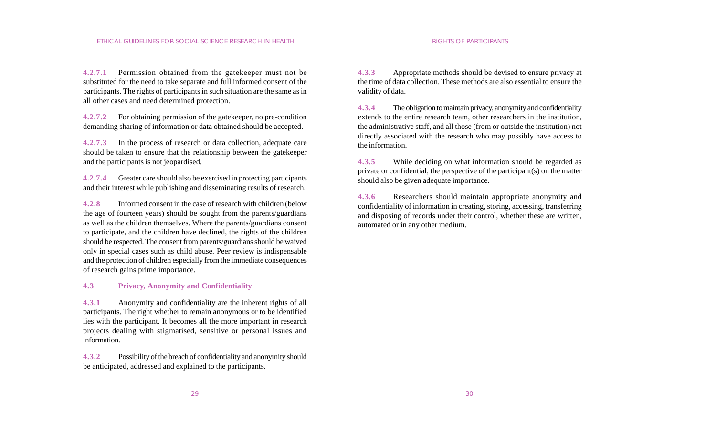**4.2.7.1** Permission obtained from the gatekeeper must not be substituted for the need to take separate and full informed consent of the participants. The rights of participants in such situation are the same as in all other cases and need determined protection.

**4.2.7.2** For obtaining permission of the gatekeeper, no pre-condition demanding sharing of information or data obtained should be accepted.

**4.2.7.3** In the process of research or data collection, adequate care should be taken to ensure that the relationship between the gatekeeper and the participants is not jeopardised.

**4.2.7.4** Greater care should also be exercised in protecting participants and their interest while publishing and disseminating results of research.

**4.2.8** Informed consent in the case of research with children (below the age of fourteen years) should be sought from the parents/guardians as well as the children themselves. Where the parents/guardians consent to participate, and the children have declined, the rights of the children should be respected. The consent from parents/guardians should be waived only in special cases such as child abuse. Peer review is indispensable and the protection of children especially from the immediate consequences of research gains prime importance.

#### **4.3 Privacy, Anonymity and Confidentiality**

**4.3.1** Anonymity and confidentiality are the inherent rights of all participants. The right whether to remain anonymous or to be identified lies with the participant. It becomes all the more important in research projects dealing with stigmatised, sensitive or personal issues and information.

**4.3.2** Possibility of the breach of confidentiality and anonymity should be anticipated, addressed and explained to the participants.

**4.3.3** Appropriate methods should be devised to ensure privacy at the time of data collection. These methods are also essential to ensure the validity of data.

**4.3.4** The obligation to maintain privacy, anonymity and confidentiality extends to the entire research team, other researchers in the institution, the administrative staff, and all those (from or outside the institution) not directly associated with the research who may possibly have access to the information.

**4.3.5** While deciding on what information should be regarded as private or confidential, the perspective of the participant(s) on the matter should also be given adequate importance.

**4.3.6** Researchers should maintain appropriate anonymity and confidentiality of information in creating, storing, accessing, transferring and disposing of records under their control, whether these are written, automated or in any other medium.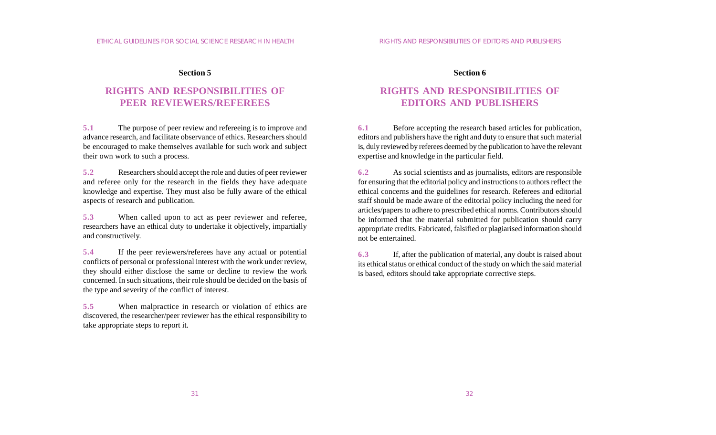#### **Section 5**

## **RIGHTS AND RESPONSIBILITIES OF PEER REVIEWERS/REFEREES**

**5.1** The purpose of peer review and refereeing is to improve and advance research, and facilitate observance of ethics. Researchers should be encouraged to make themselves available for such work and subject their own work to such a process.

**5.2** Researchers should accept the role and duties of peer reviewer and referee only for the research in the fields they have adequate knowledge and expertise. They must also be fully aware of the ethical aspects of research and publication.

**5.3** When called upon to act as peer reviewer and referee, researchers have an ethical duty to undertake it objectively, impartially and constructively.

**5.4** If the peer reviewers/referees have any actual or potential conflicts of personal or professional interest with the work under review, they should either disclose the same or decline to review the work concerned. In such situations, their role should be decided on the basis of the type and severity of the conflict of interest.

**5.5** When malpractice in research or violation of ethics are discovered, the researcher/peer reviewer has the ethical responsibility to take appropriate steps to report it.

#### **Section 6**

## **RIGHTS AND RESPONSIBILITIES OF EDITORS AND PUBLISHERS**

**6.1** Before accepting the research based articles for publication, editors and publishers have the right and duty to ensure that such material is, duly reviewed by referees deemed by the publication to have the relevant expertise and knowledge in the particular field.

**6.2** As social scientists and as journalists, editors are responsible for ensuring that the editorial policy and instructions to authors reflect the ethical concerns and the guidelines for research. Referees and editorial staff should be made aware of the editorial policy including the need for articles/papers to adhere to prescribed ethical norms. Contributors should be informed that the material submitted for publication should carry appropriate credits. Fabricated, falsified or plagiarised information should not be entertained.

**6.3** If, after the publication of material, any doubt is raised about its ethical status or ethical conduct of the study on which the said material is based, editors should take appropriate corrective steps.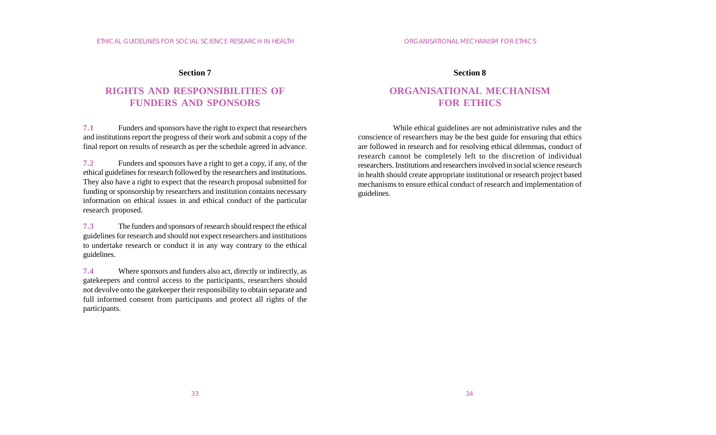#### **Section 7**

## **RIGHTS AND RESPONSIBILITIES OF FUNDERS AND SPONSORS**

**7.1** Funders and sponsors have the right to expect that researchers and institutions report the progress of their work and submit a copy of the final report on results of research as per the schedule agreed in advance.

**7.2** Funders and sponsors have a right to get a copy, if any, of the ethical guidelines for research followed by the researchers and institutions. They also have a right to expect that the research proposal submitted for funding or sponsorship by researchers and institution contains necessary information on ethical issues in and ethical conduct of the particular research proposed.

**7.3** The funders and sponsors of research should respect the ethical guidelines for research and should not expect researchers and institutions to undertake research or conduct it in any way contrary to the ethical guidelines.

**7.4** Where sponsors and funders also act, directly or indirectly, as gatekeepers and control access to the participants, researchers should not devolve onto the gatekeeper their responsibility to obtain separate and full informed consent from participants and protect all rights of the participants.

#### **Section 8**

## **ORGANISATIONAL MECHANISM FOR ETHICS**

While ethical guidelines are not administrative rules and the conscience of researchers may be the best guide for ensuring that ethics are followed in research and for resolving ethical dilemmas, conduct of research cannot be completely left to the discretion of individual researchers. Institutions and researchers involved in social science research in health should create appropriate institutional or research project based mechanisms to ensure ethical conduct of research and implementation of guidelines.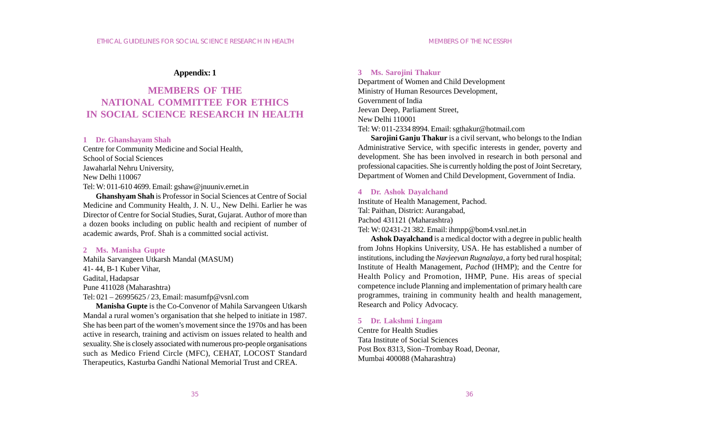### **Appendix: 1**

## **MEMBERS OF THE NATIONAL COMMITTEE FOR ETHICS IN SOCIAL SCIENCE RESEARCH IN HEALTH**

#### **1 Dr. Ghanshayam Shah**

Centre for Community Medicine and Social Health, School of Social Sciences Jawaharlal Nehru University, New Delhi 110067 Tel: W: 011-610 4699. Email: gshaw@jnuuniv.ernet.in

**Ghanshyam Shah** is Professor in Social Sciences at Centre of Social Medicine and Community Health, J. N. U., New Delhi. Earlier he was Director of Centre for Social Studies, Surat, Gujarat. Author of more than a dozen books including on public health and recipient of number of academic awards, Prof. Shah is a committed social activist.

#### **2 Ms. Manisha Gupte**

Mahila Sarvangeen Utkarsh Mandal (MASUM) 41- 44, B-1 Kuber Vihar, Gadital, Hadapsar Pune 411028 (Maharashtra) Tel: 021 – 26995625 / 23, Email: masumfp@vsnl.com

**Manisha Gupte** is the Co-Convenor of Mahila Sarvangeen Utkarsh Mandal a rural women's organisation that she helped to initiate in 1987. She has been part of the women's movement since the 1970s and has been active in research, training and activism on issues related to health and sexuality. She is closely associated with numerous pro-people organisations such as Medico Friend Circle (MFC), CEHAT, LOCOST Standard Therapeutics, Kasturba Gandhi National Memorial Trust and CREA.

#### **3 Ms. Sarojini Thakur**

Department of Women and Child Development Ministry of Human Resources Development, Government of India Jeevan Deep, Parliament Street, New Delhi 110001 Tel: W: 011-2334 8994. Email: sgthakur@hotmail.com

**Sarojini Ganju Thakur** is a civil servant, who belongs to the Indian Administrative Service, with specific interests in gender, poverty and development. She has been involved in research in both personal and professional capacities. She is currently holding the post of Joint Secretary, Department of Women and Child Development, Government of India.

#### **4 Dr. Ashok Dayalchand**

Institute of Health Management, Pachod. Tal: Paithan, District: Aurangabad, Pachod 431121 (Maharashtra) Tel: W: 02431-21 382. Email: ihmpp@bom4.vsnl.net.in

**Ashok Dayalchand** is a medical doctor with a degree in public health from Johns Hopkins University, USA. He has established a number of institutions, including the *Navjeevan Rugnalaya*, a forty bed rural hospital; Institute of Health Management, *Pachod* (IHMP); and the Centre for Health Policy and Promotion, IHMP, Pune. His areas of special competence include Planning and implementation of primary health care programmes, training in community health and health management, Research and Policy Advocacy.

#### **5 Dr. Lakshmi Lingam**

Centre for Health Studies Tata Institute of Social Sciences Post Box 8313, Sion–Trombay Road, Deonar, Mumbai 400088 (Maharashtra)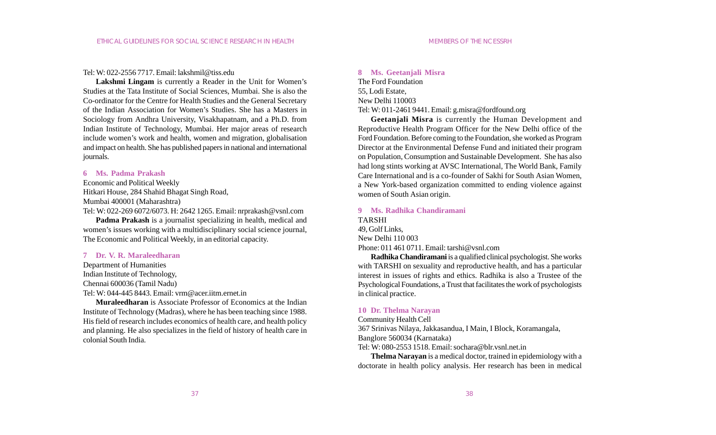#### Tel: W: 022-2556 7717. Email: lakshmil@tiss.edu

**Lakshmi Lingam** is currently a Reader in the Unit for Women's Studies at the Tata Institute of Social Sciences, Mumbai. She is also the Co-ordinator for the Centre for Health Studies and the General Secretary of the Indian Association for Women's Studies. She has a Masters in Sociology from Andhra University, Visakhapatnam, and a Ph.D. from Indian Institute of Technology, Mumbai. Her major areas of research include women's work and health, women and migration, globalisation and impact on health. She has published papers in national and international journals.

#### **6 Ms. Padma Prakash**

Economic and Political Weekly Hitkari House, 284 Shahid Bhagat Singh Road, Mumbai 400001 (Maharashtra)

Tel: W: 022-269 6072/6073. H: 2642 1265. Email: nrprakash@vsnl.com

**Padma Prakash** is a journalist specializing in health, medical and women's issues working with a multidisciplinary social science journal, The Economic and Political Weekly, in an editorial capacity.

#### **7 Dr. V. R. Maraleedharan**

Department of Humanities Indian Institute of Technology, Chennai 600036 (Tamil Nadu)

Tel: W: 044-445 8443. Email: vrm@acer.iitm.ernet.in

**Muraleedharan** is Associate Professor of Economics at the Indian Institute of Technology (Madras), where he has been teaching since 1988. His field of research includes economics of health care, and health policy and planning. He also specializes in the field of history of health care in colonial South India.

#### **8 Ms. Geetanjali Misra**

The Ford Foundation 55, Lodi Estate, New Delhi 110003 Tel: W: 011-2461 9441. Email: g.misra@fordfound.org

**Geetanjali Misra** is currently the Human Development and Reproductive Health Program Officer for the New Delhi office of the Ford Foundation. Before coming to the Foundation, she worked as Program Director at the Environmental Defense Fund and initiated their program on Population, Consumption and Sustainable Development. She has also had long stints working at AVSC International, The World Bank, Family Care International and is a co-founder of Sakhi for South Asian Women, a New York-based organization committed to ending violence against women of South Asian origin.

**9 Ms. Radhika Chandiramani** TARSHI 49, Golf Links, New Delhi 110 003 Phone: 011 461 0711. Email: tarshi@vsnl.com

**Radhika Chandiramani** is a qualified clinical psychologist. She works with TARSHI on sexuality and reproductive health, and has a particular interest in issues of rights and ethics. Radhika is also a Trustee of the Psychological Foundations, a Trust that facilitates the work of psychologists in clinical practice.

#### **10 Dr. Thelma Narayan**

Community Health Cell

367 Srinivas Nilaya, Jakkasandua, I Main, I Block, Koramangala, Banglore 560034 (Karnataka) Tel: W: 080-2553 1518. Email: sochara@blr.vsnl.net.in

**Thelma Narayan** is a medical doctor, trained in epidemiology with a doctorate in health policy analysis. Her research has been in medical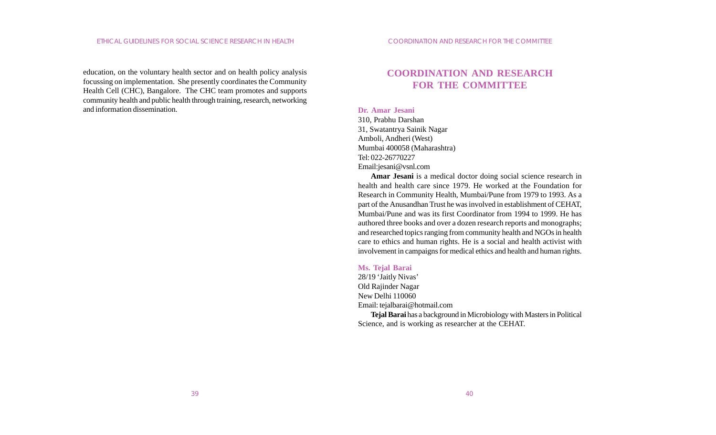education, on the voluntary health sector and on health policy analysis focussing on implementation. She presently coordinates the Community Health Cell (CHC), Bangalore. The CHC team promotes and supports community health and public health through training, research, networking and information dissemination.

## **COORDINATION AND RESEARCH FOR THE COMMITTEE**

#### **Dr. Amar Jesani**

310, Prabhu Darshan 31, Swatantrya Sainik Nagar Amboli, Andheri (West) Mumbai 400058 (Maharashtra) Tel: 022-26770227 Email:jesani@vsnl.com

**Amar Jesani** is a medical doctor doing social science research in health and health care since 1979. He worked at the Foundation for Research in Community Health, Mumbai/Pune from 1979 to 1993. As a part of the Anusandhan Trust he was involved in establishment of CEHAT, Mumbai/Pune and was its first Coordinator from 1994 to 1999. He has authored three books and over a dozen research reports and monographs; and researched topics ranging from community health and NGOs in health care to ethics and human rights. He is a social and health activist with involvement in campaigns for medical ethics and health and human rights.

#### **Ms. Tejal Barai**

28/19 'Jaitly Nivas' Old Rajinder Nagar New Delhi 110060 Email: tejalbarai@hotmail.com **Tejal Barai** has a background in Microbiology with Masters in Political

Science, and is working as researcher at the CEHAT.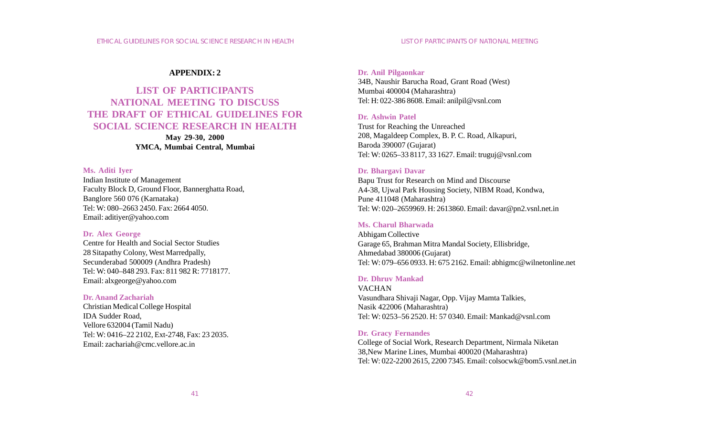#### **APPENDIX: 2**

## **LIST OF PARTICIPANTS NATIONAL MEETING TO DISCUSS THE DRAFT OF ETHICAL GUIDELINES FOR SOCIAL SCIENCE RESEARCH IN HEALTH**

**May 29-30, 2000 YMCA, Mumbai Central, Mumbai**

#### **Ms. Aditi Iyer**

Indian Institute of Management Faculty Block D, Ground Floor, Bannerghatta Road, Banglore 560 076 (Karnataka) Tel: W: 080–2663 2450. Fax: 2664 4050. Email: aditiyer@yahoo.com

#### **Dr. Alex George**

Centre for Health and Social Sector Studies 28 Sitapathy Colony, West Marredpally, Secunderabad 500009 (Andhra Pradesh) Tel: W: 040–848 293. Fax: 811 982 R: 7718177. Email: alxgeorge@yahoo.com

#### **Dr. Anand Zachariah**

Christian Medical College Hospital IDA Sudder Road, Vellore 632004 (Tamil Nadu) Tel: W: 0416–22 2102, Ext-2748, Fax: 23 2035. Email: zachariah@cmc.vellore.ac.in

#### **Dr. Anil Pilgaonkar**

34B, Naushir Barucha Road, Grant Road (West) Mumbai 400004 (Maharashtra) Tel: H: 022-386 8608. Email: anilpil@vsnl.com

#### **Dr. Ashwin Patel**

Trust for Reaching the Unreached 208, Magaldeep Complex, B. P. C. Road, Alkapuri, Baroda 390007 (Gujarat) Tel: W: 0265–33 8117, 33 1627. Email: truguj@vsnl.com

#### **Dr. Bhargavi Davar**

Bapu Trust for Research on Mind and Discourse A4-38, Ujwal Park Housing Society, NIBM Road, Kondwa, Pune 411048 (Maharashtra) Tel: W: 020–2659969. H: 2613860. Email: davar@pn2.vsnl.net.in

#### **Ms. Charul Bharwada**

Abhigam Collective Garage 65, Brahman Mitra Mandal Society, Ellisbridge, Ahmedabad 380006 (Gujarat) Tel: W: 079–656 0933. H: 675 2162. Email: abhigmc@wilnetonline.net

#### **Dr. Dhruv Mankad**

VACHAN Vasundhara Shivaji Nagar, Opp. Vijay Mamta Talkies, Nasik 422006 (Maharashtra) Tel: W: 0253–56 2520. H: 57 0340. Email: Mankad@vsnl.com

#### **Dr. Gracy Fernandes**

College of Social Work, Research Department, Nirmala Niketan 38,New Marine Lines, Mumbai 400020 (Maharashtra) Tel: W: 022-2200 2615, 2200 7345. Email: colsocwk@bom5.vsnl.net.in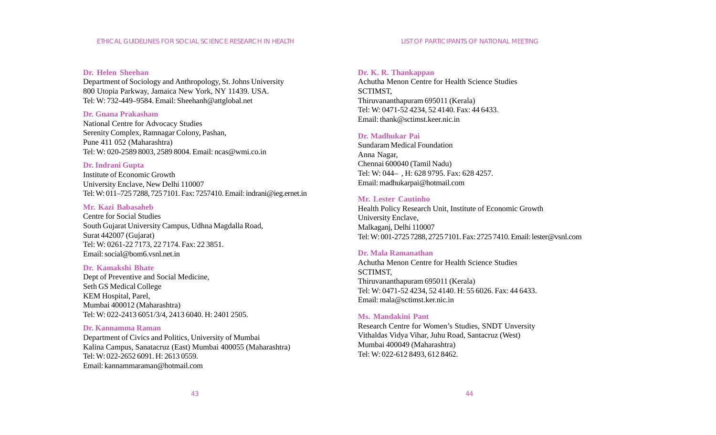#### **Dr. Helen Sheehan**

Department of Sociology and Anthropology, St. Johns University 800 Utopia Parkway, Jamaica New York, NY 11439. USA. Tel: W: 732-449–9584. Email: Sheehanh@attglobal.net

#### **Dr. Gnana Prakasham**

National Centre for Advocacy Studies Serenity Complex, Ramnagar Colony, Pashan, Pune 411 052 (Maharashtra) Tel: W: 020-2589 8003, 2589 8004. Email: ncas@wmi.co.in

#### **Dr. Indrani Gupta**

Institute of Economic Growth University Enclave, New Delhi 110007 Tel: W: 011–725 7288, 725 7101. Fax: 7257410. Email: indrani@ieg.ernet.in

#### **Mr. Kazi Babasaheb**

Centre for Social Studies South Gujarat University Campus, Udhna Magdalla Road, Surat 442007 (Gujarat) Tel: W: 0261-22 7173, 22 7174. Fax: 22 3851. Email: social@bom6.vsnl.net.in

#### **Dr. Kamakshi Bhate**

Dept of Preventive and Social Medicine, Seth GS Medical College KEM Hospital, Parel, Mumbai 400012 (Maharashtra) Tel: W: 022-2413 6051/3/4, 2413 6040. H: 2401 2505.

#### **Dr. Kannamma Raman**

Department of Civics and Politics, University of Mumbai Kalina Campus, Sanatacruz (East) Mumbai 400055 (Maharashtra) Tel: W: 022-2652 6091. H: 2613 0559. Email: kannammaraman@hotmail.com

#### **Dr. K. R. Thankappan**

Achutha Menon Centre for Health Science Studies SCTIMST, Thiruvananthapuram 695011 (Kerala) Tel: W: 0471-52 4234, 52 4140. Fax: 44 6433. Email: thank@sctimst.keer.nic.in

#### **Dr. Madhukar Pai**

Sundaram Medical Foundation Anna Nagar, Chennai 600040 (Tamil Nadu) Tel: W: 044– , H: 628 9795. Fax: 628 4257. Email: madhukarpai@hotmail.com

#### **Mr. Lester Cautinho**

Health Policy Research Unit, Institute of Economic Growth University Enclave, Malkaganj, Delhi 110007 Tel: W: 001-2725 7288, 2725 7101. Fax: 2725 7410. Email: lester@vsnl.com

#### **Dr. Mala Ramanathan**

Achutha Menon Centre for Health Science Studies SCTIMST, Thiruvananthapuram 695011 (Kerala) Tel: W: 0471-52 4234, 52 4140. H: 55 6026. Fax: 44 6433. Email: mala@sctimst.ker.nic.in

#### **Ms. Mandakini Pant**

Research Centre for Women's Studies, SNDT Unversity Vithaldas Vidya Vihar, Juhu Road, Santacruz (West) Mumbai 400049 (Maharashtra) Tel: W: 022-612 8493, 612 8462.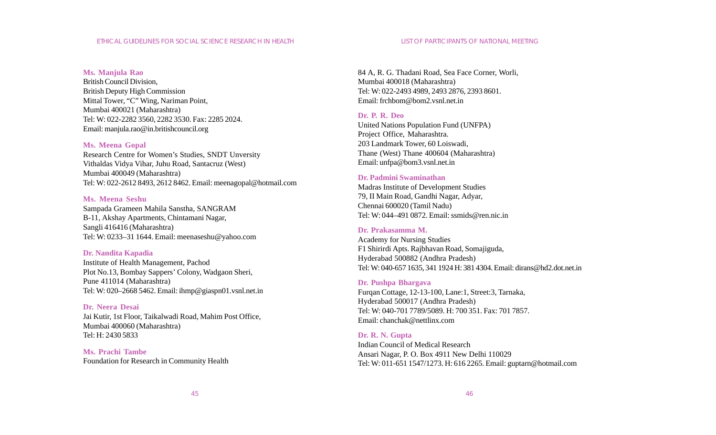#### **Ms. Manjula Rao**

British Council Division, British Deputy High Commission Mittal Tower, "C" Wing, Nariman Point, Mumbai 400021 (Maharashtra) Tel: W: 022-2282 3560, 2282 3530. Fax: 2285 2024. Email: manjula.rao@in.britishcouncil.org

#### **Ms. Meena Gopal**

Research Centre for Women's Studies, SNDT Unversity Vithaldas Vidya Vihar, Juhu Road, Santacruz (West) Mumbai 400049 (Maharashtra) Tel: W: 022-2612 8493, 2612 8462. Email: meenagopal@hotmail.com

#### **Ms. Meena Seshu**

Sampada Grameen Mahila Sanstha, SANGRAM B-11, Akshay Apartments, Chintamani Nagar, Sangli 416416 (Maharashtra) Tel: W: 0233–31 1644. Email: meenaseshu@yahoo.com

#### **Dr. Nandita Kapadia**

Institute of Health Management, Pachod Plot No.13, Bombay Sappers' Colony, Wadgaon Sheri, Pune 411014 (Maharashtra) Tel: W: 020–2668 5462. Email: ihmp@giaspn01.vsnl.net.in

### **Dr. Neera Desai**

Jai Kutir, 1st Floor, Taikalwadi Road, Mahim Post Office, Mumbai 400060 (Maharashtra) Tel: H: 2430 5833

**Ms. Prachi Tambe** Foundation for Research in Community Health 84 A, R. G. Thadani Road, Sea Face Corner, Worli, Mumbai 400018 (Maharashtra) Tel: W: 022-2493 4989, 2493 2876, 2393 8601. Email: frchbom@bom2.vsnl.net.in

### **Dr. P. R. Deo**

United Nations Population Fund (UNFPA) Project Office, Maharashtra. 203 Landmark Tower, 60 Loiswadi, Thane (West) Thane 400604 (Maharashtra) Email: unfpa@bom3.vsnl.net.in

#### **Dr. Padmini Swaminathan**

Madras Institute of Development Studies 79, II Main Road, Gandhi Nagar, Adyar, Chennai 600020 (Tamil Nadu) Tel: W: 044–491 0872. Email: ssmids@ren.nic.in

#### **Dr. Prakasamma M.**

Academy for Nursing Studies F1 Shirirdi Apts. Rajbhavan Road, Somajiguda, Hyderabad 500882 (Andhra Pradesh) Tel: W: 040-657 1635, 341 1924 H: 381 4304. Email: dirans@hd2.dot.net.in

#### **Dr. Pushpa Bhargava**

Furqan Cottage, 12-13-100, Lane:1, Street:3, Tarnaka, Hyderabad 500017 (Andhra Pradesh) Tel: W: 040-701 7789/5089. H: 700 351. Fax: 701 7857. Email: chanchak@nettlinx.com

#### **Dr. R. N. Gupta**

Indian Council of Medical Research Ansari Nagar, P. O. Box 4911 New Delhi 110029 Tel: W: 011-651 1547/1273. H: 616 2265. Email: guptarn@hotmail.com